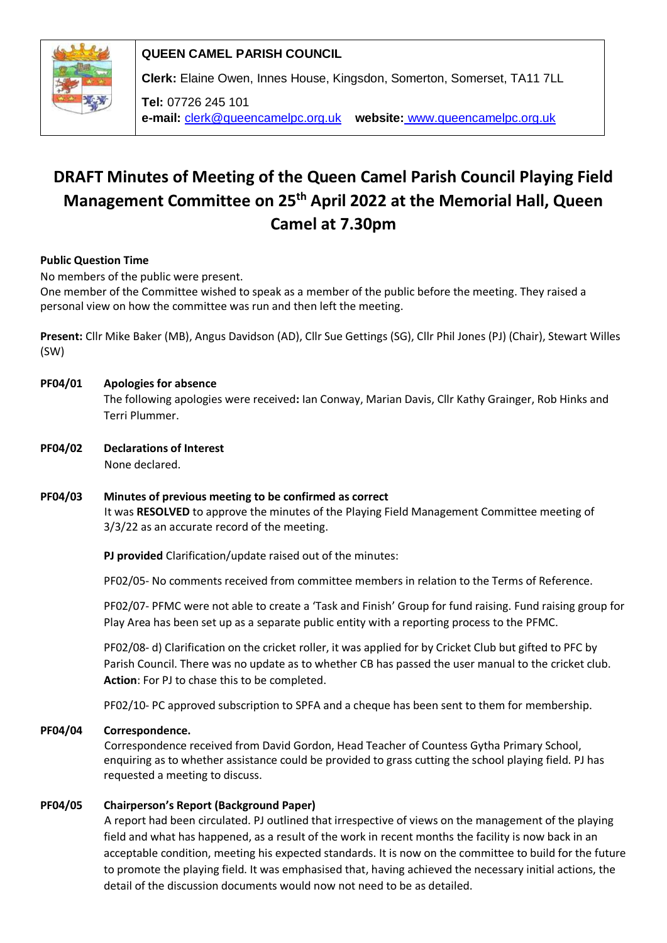

**QUEEN CAMEL PARISH COUNCIL**

**Clerk:** Elaine Owen, Innes House, Kingsdon, Somerton, Somerset, TA11 7LL

**Tel:** 07726 245 101 **e-mail:** clerk@queencamelpc.org.uk **website:** [www.queencamelpc.org.uk](http://www.queencamelpc.org.uk/)

# **DRAFT Minutes of Meeting of the Queen Camel Parish Council Playing Field Management Committee on 25th April 2022 at the Memorial Hall, Queen Camel at 7.30pm**

# **Public Question Time**

No members of the public were present.

One member of the Committee wished to speak as a member of the public before the meeting. They raised a personal view on how the committee was run and then left the meeting.

**Present:** Cllr Mike Baker (MB), Angus Davidson (AD), Cllr Sue Gettings (SG), Cllr Phil Jones (PJ) (Chair), Stewart Willes (SW)

# **PF04/01 Apologies for absence**  The following apologies were received**:** Ian Conway, Marian Davis, Cllr Kathy Grainger, Rob Hinks and Terri Plummer.

- **PF04/02 Declarations of Interest** None declared.
- **PF04/03 Minutes of previous meeting to be confirmed as correct** It was **RESOLVED** to approve the minutes of the Playing Field Management Committee meeting of 3/3/22 as an accurate record of the meeting.

**PJ provided** Clarification/update raised out of the minutes:

PF02/05- No comments received from committee members in relation to the Terms of Reference.

PF02/07- PFMC were not able to create a 'Task and Finish' Group for fund raising. Fund raising group for Play Area has been set up as a separate public entity with a reporting process to the PFMC.

PF02/08- d) Clarification on the cricket roller, it was applied for by Cricket Club but gifted to PFC by Parish Council. There was no update as to whether CB has passed the user manual to the cricket club. **Action**: For PJ to chase this to be completed.

PF02/10- PC approved subscription to SPFA and a cheque has been sent to them for membership.

# **PF04/04 Correspondence.**

Correspondence received from David Gordon, Head Teacher of Countess Gytha Primary School, enquiring as to whether assistance could be provided to grass cutting the school playing field. PJ has requested a meeting to discuss.

# **PF04/05 Chairperson's Report (Background Paper)**

A report had been circulated. PJ outlined that irrespective of views on the management of the playing field and what has happened, as a result of the work in recent months the facility is now back in an acceptable condition, meeting his expected standards. It is now on the committee to build for the future to promote the playing field. It was emphasised that, having achieved the necessary initial actions, the detail of the discussion documents would now not need to be as detailed.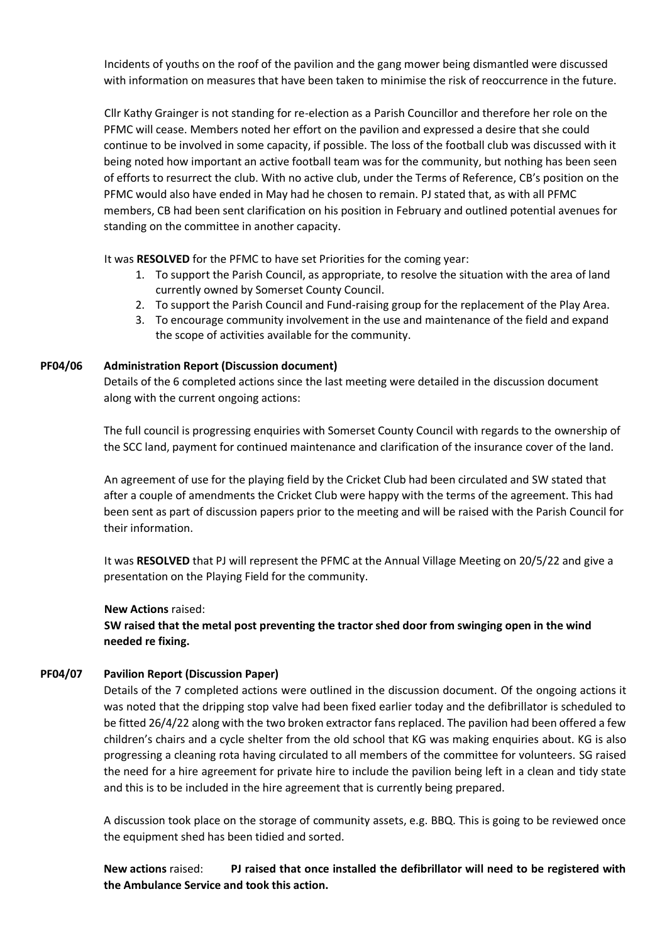Incidents of youths on the roof of the pavilion and the gang mower being dismantled were discussed with information on measures that have been taken to minimise the risk of reoccurrence in the future.

Cllr Kathy Grainger is not standing for re-election as a Parish Councillor and therefore her role on the PFMC will cease. Members noted her effort on the pavilion and expressed a desire that she could continue to be involved in some capacity, if possible. The loss of the football club was discussed with it being noted how important an active football team was for the community, but nothing has been seen of efforts to resurrect the club. With no active club, under the Terms of Reference, CB's position on the PFMC would also have ended in May had he chosen to remain. PJ stated that, as with all PFMC members, CB had been sent clarification on his position in February and outlined potential avenues for standing on the committee in another capacity.

It was **RESOLVED** for the PFMC to have set Priorities for the coming year:

- 1. To support the Parish Council, as appropriate, to resolve the situation with the area of land currently owned by Somerset County Council.
- 2. To support the Parish Council and Fund-raising group for the replacement of the Play Area.
- 3. To encourage community involvement in the use and maintenance of the field and expand the scope of activities available for the community.

# **PF04/06 Administration Report (Discussion document)**

Details of the 6 completed actions since the last meeting were detailed in the discussion document along with the current ongoing actions:

The full council is progressing enquiries with Somerset County Council with regards to the ownership of the SCC land, payment for continued maintenance and clarification of the insurance cover of the land.

An agreement of use for the playing field by the Cricket Club had been circulated and SW stated that after a couple of amendments the Cricket Club were happy with the terms of the agreement. This had been sent as part of discussion papers prior to the meeting and will be raised with the Parish Council for their information.

It was **RESOLVED** that PJ will represent the PFMC at the Annual Village Meeting on 20/5/22 and give a presentation on the Playing Field for the community.

#### **New Actions** raised:

**SW raised that the metal post preventing the tractor shed door from swinging open in the wind needed re fixing.** 

# **PF04/07 Pavilion Report (Discussion Paper)**

Details of the 7 completed actions were outlined in the discussion document. Of the ongoing actions it was noted that the dripping stop valve had been fixed earlier today and the defibrillator is scheduled to be fitted 26/4/22 along with the two broken extractor fans replaced. The pavilion had been offered a few children's chairs and a cycle shelter from the old school that KG was making enquiries about. KG is also progressing a cleaning rota having circulated to all members of the committee for volunteers. SG raised the need for a hire agreement for private hire to include the pavilion being left in a clean and tidy state and this is to be included in the hire agreement that is currently being prepared.

A discussion took place on the storage of community assets, e.g. BBQ. This is going to be reviewed once the equipment shed has been tidied and sorted.

**New actions** raised: **PJ raised that once installed the defibrillator will need to be registered with the Ambulance Service and took this action.**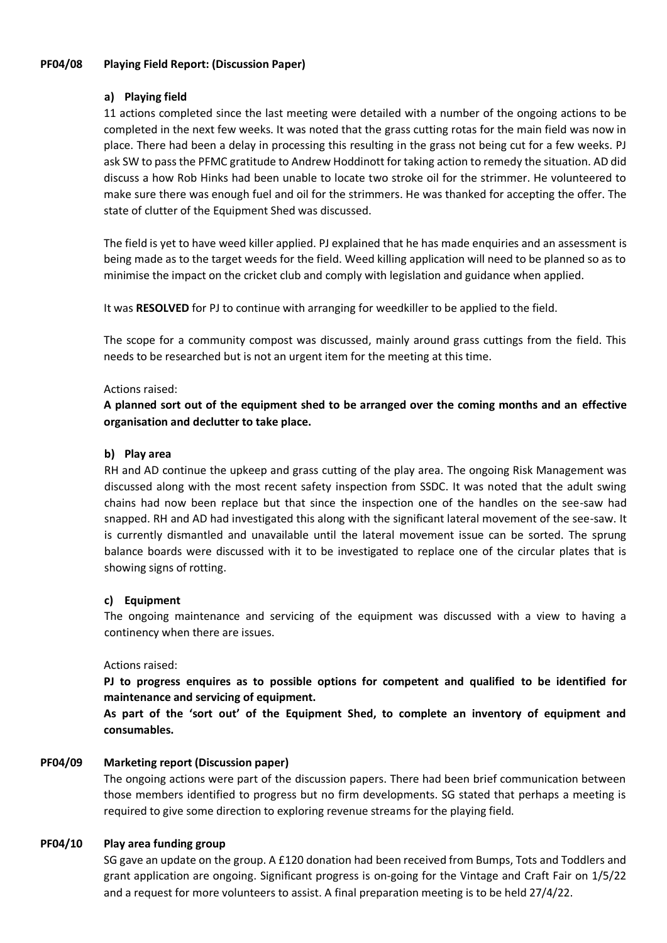#### **PF04/08 Playing Field Report: (Discussion Paper)**

# **a) Playing field**

11 actions completed since the last meeting were detailed with a number of the ongoing actions to be completed in the next few weeks. It was noted that the grass cutting rotas for the main field was now in place. There had been a delay in processing this resulting in the grass not being cut for a few weeks. PJ ask SW to pass the PFMC gratitude to Andrew Hoddinott for taking action to remedy the situation. AD did discuss a how Rob Hinks had been unable to locate two stroke oil for the strimmer. He volunteered to make sure there was enough fuel and oil for the strimmers. He was thanked for accepting the offer. The state of clutter of the Equipment Shed was discussed.

The field is yet to have weed killer applied. PJ explained that he has made enquiries and an assessment is being made as to the target weeds for the field. Weed killing application will need to be planned so as to minimise the impact on the cricket club and comply with legislation and guidance when applied.

It was **RESOLVED** for PJ to continue with arranging for weedkiller to be applied to the field.

The scope for a community compost was discussed, mainly around grass cuttings from the field. This needs to be researched but is not an urgent item for the meeting at this time.

#### Actions raised:

**A planned sort out of the equipment shed to be arranged over the coming months and an effective organisation and declutter to take place.**

#### **b) Play area**

RH and AD continue the upkeep and grass cutting of the play area. The ongoing Risk Management was discussed along with the most recent safety inspection from SSDC. It was noted that the adult swing chains had now been replace but that since the inspection one of the handles on the see-saw had snapped. RH and AD had investigated this along with the significant lateral movement of the see-saw. It is currently dismantled and unavailable until the lateral movement issue can be sorted. The sprung balance boards were discussed with it to be investigated to replace one of the circular plates that is showing signs of rotting.

#### **c) Equipment**

The ongoing maintenance and servicing of the equipment was discussed with a view to having a continency when there are issues.

#### Actions raised:

**PJ to progress enquires as to possible options for competent and qualified to be identified for maintenance and servicing of equipment.**

**As part of the 'sort out' of the Equipment Shed, to complete an inventory of equipment and consumables.** 

#### **PF04/09 Marketing report (Discussion paper)**

The ongoing actions were part of the discussion papers. There had been brief communication between those members identified to progress but no firm developments. SG stated that perhaps a meeting is required to give some direction to exploring revenue streams for the playing field.

#### **PF04/10 Play area funding group**

SG gave an update on the group. A £120 donation had been received from Bumps, Tots and Toddlers and grant application are ongoing. Significant progress is on-going for the Vintage and Craft Fair on 1/5/22 and a request for more volunteers to assist. A final preparation meeting is to be held 27/4/22.